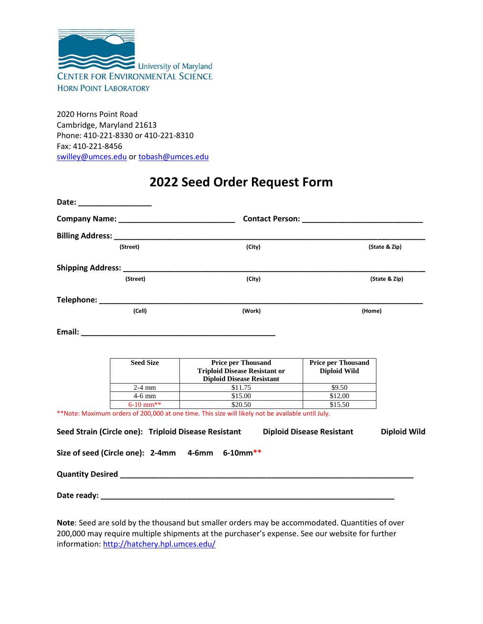

2020 Horns Point Road Cambridge, Maryland 21613 Phone: 410-221-8330 or 410-221-8310 Fax: 410-221-8456 [swilley@umces.edu](mailto:swilley@umces.edu) o[r tobash@umces.edu](mailto:tobash@umces.edu)

## **2022 Seed Order Request Form**

|          |                  | Contact Person: New York Contact Person:                                                                                |                                                  |                     |
|----------|------------------|-------------------------------------------------------------------------------------------------------------------------|--------------------------------------------------|---------------------|
|          |                  |                                                                                                                         |                                                  |                     |
| (Street) |                  | (City)                                                                                                                  | (State & Zip)                                    |                     |
|          |                  |                                                                                                                         |                                                  |                     |
| (Street) |                  | (City)                                                                                                                  | (State & Zip)                                    |                     |
|          |                  |                                                                                                                         |                                                  |                     |
|          | (Cell)           | (Work)                                                                                                                  | (Home)                                           |                     |
|          |                  |                                                                                                                         |                                                  |                     |
|          |                  |                                                                                                                         |                                                  |                     |
|          | <b>Seed Size</b> | <b>Price per Thousand</b><br><b>Triploid Disease Resistant or</b><br><b>Diploid Disease Resistant</b>                   | <b>Price per Thousand</b><br><b>Diploid Wild</b> |                     |
|          | $2-4$ mm         | \$11.75                                                                                                                 | \$9.50                                           |                     |
|          | $4-6$ mm         | \$15.00                                                                                                                 | \$12.00                                          |                     |
|          | $6-10$ mm**      | \$20.50                                                                                                                 | \$15.50                                          |                     |
|          |                  | ** Note: Maximum orders of 200,000 at one time. This size will likely not be available until July.                      |                                                  |                     |
|          |                  | Seed Strain (Circle one): Triploid Disease Resistant                                                                    | <b>Diploid Disease Resistant</b>                 | <b>Diploid Wild</b> |
|          |                  | Size of seed (Circle one): 2-4mm 4-6mm 6-10mm**                                                                         |                                                  |                     |
|          |                  | Quantity Desired <b>Example 2018</b> 2019 12:00:00 12:00:00 12:00:00 12:00:00 12:00:00 12:00:00 12:00:00 12:00:00 12:00 |                                                  |                     |
|          |                  | Date ready: Date ready:                                                                                                 |                                                  |                     |

**Note**: Seed are sold by the thousand but smaller orders may be accommodated. Quantities of over 200,000 may require multiple shipments at the purchaser's expense. See our website for further information[: http://hatchery.hpl.umces.edu/](http://hatchery.hpl.umces.edu/)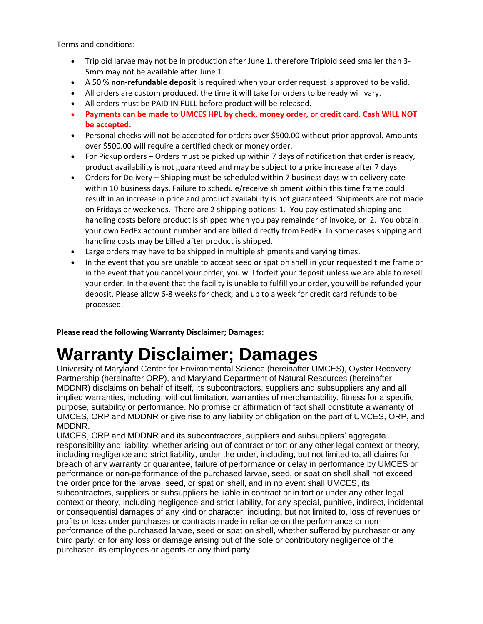Terms and conditions:

- Triploid larvae may not be in production after June 1, therefore Triploid seed smaller than 3- 5mm may not be available after June 1.
- A 50 % **non-refundable deposit** is required when your order request is approved to be valid.
- All orders are custom produced, the time it will take for orders to be ready will vary.
- All orders must be PAID IN FULL before product will be released.
- **Payments can be made to UMCES HPL by check, money order, or credit card. Cash WILL NOT be accepted.**
- Personal checks will not be accepted for orders over \$500.00 without prior approval. Amounts over \$500.00 will require a certified check or money order.
- For Pickup orders Orders must be picked up within 7 days of notification that order is ready, product availability is not guaranteed and may be subject to a price increase after 7 days.
- Orders for Delivery Shipping must be scheduled within 7 business days with delivery date within 10 business days. Failure to schedule/receive shipment within this time frame could result in an increase in price and product availability is not guaranteed. Shipments are not made on Fridays or weekends. There are 2 shipping options; 1. You pay estimated shipping and handling costs before product is shipped when you pay remainder of invoice, or 2. You obtain your own FedEx account number and are billed directly from FedEx. In some cases shipping and handling costs may be billed after product is shipped.
- Large orders may have to be shipped in multiple shipments and varying times.
- In the event that you are unable to accept seed or spat on shell in your requested time frame or in the event that you cancel your order, you will forfeit your deposit unless we are able to resell your order. In the event that the facility is unable to fulfill your order, you will be refunded your deposit. Please allow 6-8 weeks for check, and up to a week for credit card refunds to be processed.

**Please read the following Warranty Disclaimer; Damages:**

## **Warranty Disclaimer; Damages**

University of Maryland Center for Environmental Science (hereinafter UMCES), Oyster Recovery Partnership (hereinafter ORP), and Maryland Department of Natural Resources (hereinafter MDDNR) disclaims on behalf of itself, its subcontractors, suppliers and subsuppliers any and all implied warranties, including, without limitation, warranties of merchantability, fitness for a specific purpose, suitability or performance. No promise or affirmation of fact shall constitute a warranty of UMCES, ORP and MDDNR or give rise to any liability or obligation on the part of UMCES, ORP, and MDDNR.

UMCES, ORP and MDDNR and its subcontractors, suppliers and subsuppliers' aggregate responsibility and liability, whether arising out of contract or tort or any other legal context or theory, including negligence and strict liability, under the order, including, but not limited to, all claims for breach of any warranty or guarantee, failure of performance or delay in performance by UMCES or performance or non-performance of the purchased larvae, seed, or spat on shell shall not exceed the order price for the larvae, seed, or spat on shell, and in no event shall UMCES, its subcontractors, suppliers or subsuppliers be liable in contract or in tort or under any other legal context or theory, including negligence and strict liability, for any special, punitive, indirect, incidental or consequential damages of any kind or character, including, but not limited to, loss of revenues or profits or loss under purchases or contracts made in reliance on the performance or nonperformance of the purchased larvae, seed or spat on shell, whether suffered by purchaser or any third party, or for any loss or damage arising out of the sole or contributory negligence of the purchaser, its employees or agents or any third party.